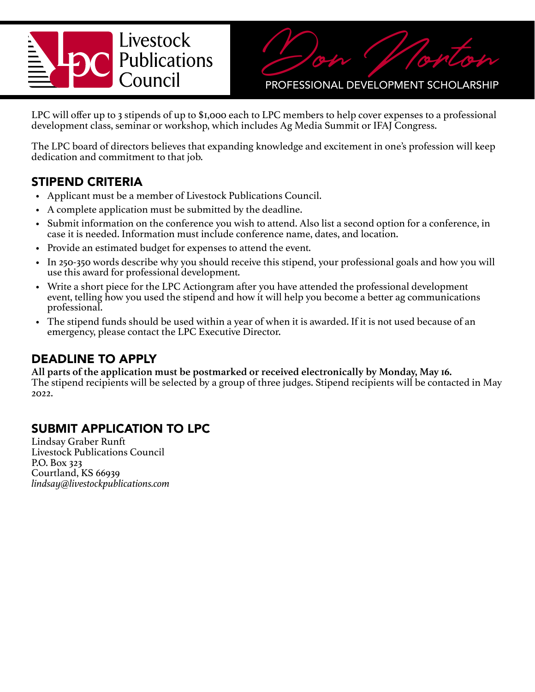# Livestock **Publications** Council



PROFESSIONAL DEVELOPMENT SCHOLARSHIP

LPC will offer up to 3 stipends of up to \$1,000 each to LPC members to help cover expenses to a professional development class, seminar or workshop, which includes Ag Media Summit or IFAJ Congress.

The LPC board of directors believes that expanding knowledge and excitement in one's profession will keep dedication and commitment to that job.

### STIPEND CRITERIA

- Applicant must be a member of Livestock Publications Council.
- A complete application must be submitted by the deadline.
- Submit information on the conference you wish to attend. Also list a second option for a conference, in case it is needed. Information must include conference name, dates, and location.
- Provide an estimated budget for expenses to attend the event.
- In 250-350 words describe why you should receive this stipend, your professional goals and how you will use this award for professional development.
- Write a short piece for the LPC Actiongram after you have attended the professional development event, telling how you used the stipend and how it will help you become a better ag communications professional.
- The stipend funds should be used within a year of when it is awarded. If it is not used because of an emergency, please contact the LPC Executive Director.

# DEADLINE TO APPLY

**All parts of the application must be postmarked or received electronically by Monday, May 16.**  The stipend recipients will be selected by a group of three judges. Stipend recipients will be contacted in May 2022.

# SUBMIT APPLICATION TO LPC

Lindsay Graber Runft Livestock Publications Council P.O. Box 323 Courtland, KS 66939 *lindsay@livestockpublications.com*